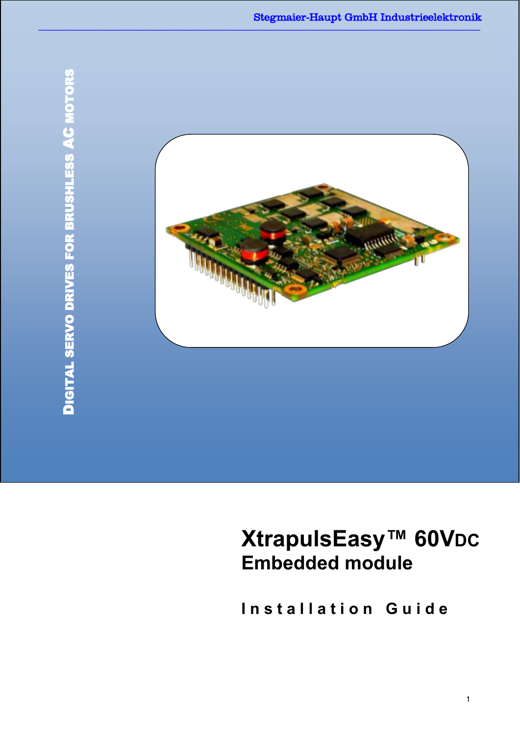

# **XtrapulsEasy™ 60VDC Embedded module**

**I n s t a l l a t i o n G u i d e**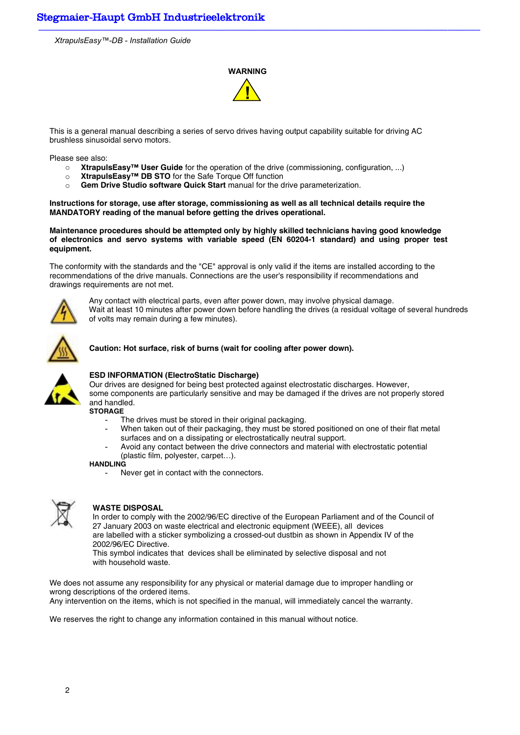## **WARNING !**

This is a general manual describing a series of servo drives having output capability suitable for driving AC brushless sinusoidal servo motors.

Please see also:

- o **XtrapulsEasy™ User Guide** for the operation of the drive (commissioning, configuration, ...)
- o **XtrapulsEasy™ DB STO** for the Safe Torque Off function
- o **Gem Drive Studio software Quick Start** manual for the drive parameterization.

**Instructions for storage, use after storage, commissioning as well as all technical details require the MANDATORY reading of the manual before getting the drives operational.** 

**Maintenance procedures should be attempted only by highly skilled technicians having good knowledge of electronics and servo systems with variable speed (EN 60204-1 standard) and using proper test equipment.** 

The conformity with the standards and the "CE" approval is only valid if the items are installed according to the recommendations of the drive manuals. Connections are the user's responsibility if recommendations and drawings requirements are not met.



Any contact with electrical parts, even after power down, may involve physical damage. Wait at least 10 minutes after power down before handling the drives (a residual voltage of several hundreds of volts may remain during a few minutes).



#### **Caution: Hot surface, risk of burns (wait for cooling after power down).**



#### **ESD INFORMATION (ElectroStatic Discharge)**

Our drives are designed for being best protected against electrostatic discharges. However, some components are particularly sensitive and may be damaged if the drives are not properly stored and handled.

**STORAGE** 

- The drives must be stored in their original packaging.
- When taken out of their packaging, they must be stored positioned on one of their flat metal surfaces and on a dissipating or electrostatically neutral support.
- Avoid any contact between the drive connectors and material with electrostatic potential (plastic film, polyester, carpet…).

#### **HANDLING**

Never get in contact with the connectors.



#### **WASTE DISPOSAL**

In order to comply with the 2002/96/EC directive of the European Parliament and of the Council of 27 January 2003 on waste electrical and electronic equipment (WEEE), all devices are labelled with a sticker symbolizing a crossed-out dustbin as shown in Appendix IV of the 2002/96/EC Directive.

This symbol indicates that devices shall be eliminated by selective disposal and not with household waste.

We does not assume any responsibility for any physical or material damage due to improper handling or wrong descriptions of the ordered items.

Any intervention on the items, which is not specified in the manual, will immediately cancel the warranty.

We reserves the right to change any information contained in this manual without notice.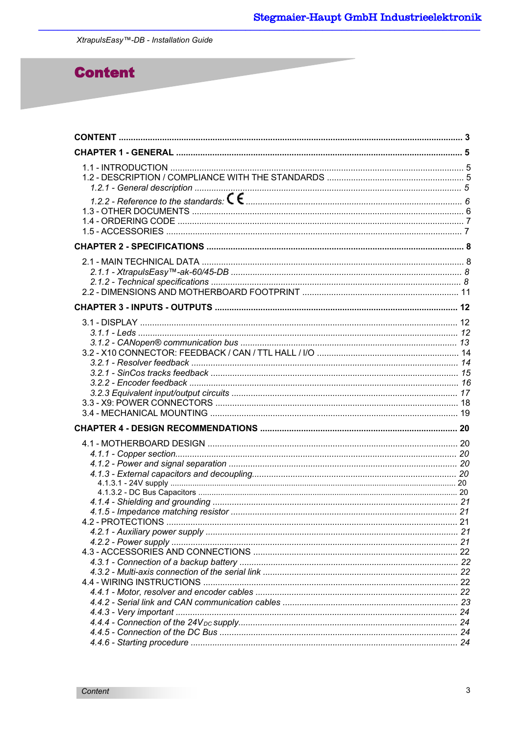## **Content**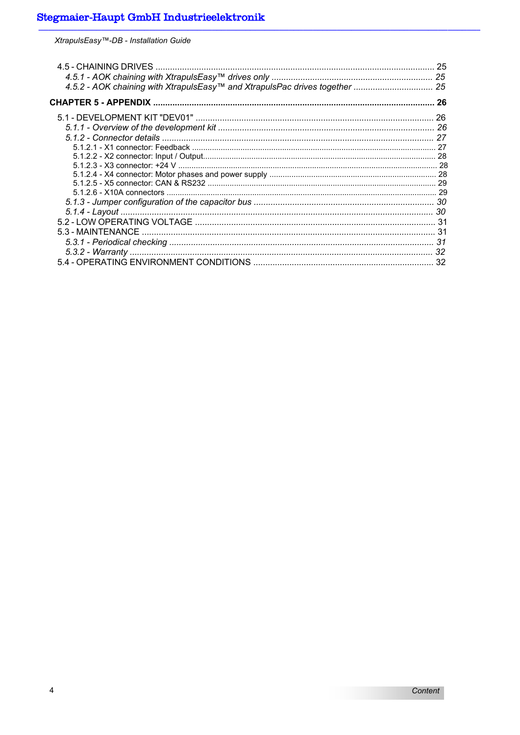XtrapulsEasy<sup>™</sup>-DB - Installation Guide

| 30 |
|----|
|    |
|    |
|    |
|    |
|    |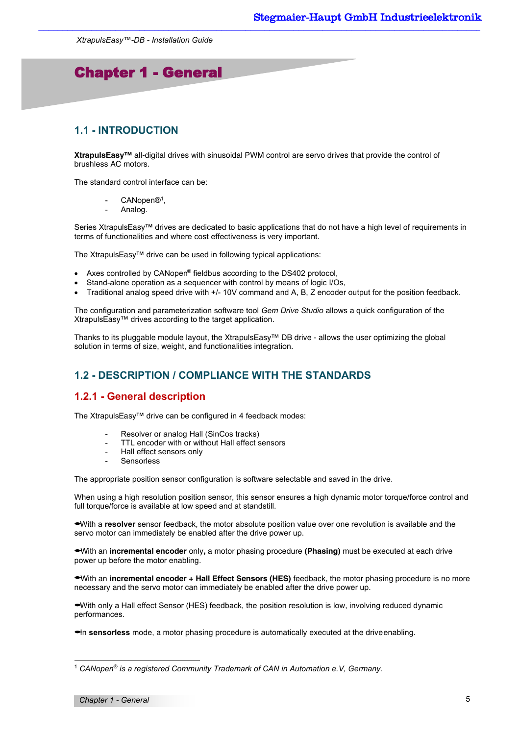## Chapter 1 - General

## **1.1 - INTRODUCTION**

I

**XtrapulsEasy™** all-digital drives with sinusoidal PWM control are servo drives that provide the control of brushless AC motors.

The standard control interface can be:

- CANopen®<sup>1</sup>,
- Analog.

Series XtrapulsEasy™ drives are dedicated to basic applications that do not have a high level of requirements in terms of functionalities and where cost effectiveness is very important.

The XtrapulsEasy™ drive can be used in following typical applications:

- Axes controlled by CANopen® fieldbus according to the DS402 protocol,
- Stand-alone operation as a sequencer with control by means of logic I/Os,
- Traditional analog speed drive with +/- 10V command and A, B, Z encoder output for the position feedback.

The configuration and parameterization software tool *Gem Drive Studio* allows a quick configuration of the XtrapulsEasy™ drives according to the target application.

Thanks to its pluggable module layout, the XtrapulsEasy™ DB drive - allows the user optimizing the global solution in terms of size, weight, and functionalities integration.

## **1.2 - DESCRIPTION / COMPLIANCE WITH THE STANDARDS**

### **1.2.1 - General description**

The XtrapulsEasy™ drive can be configured in 4 feedback modes:

- Resolver or analog Hall (SinCos tracks)
- TTL encoder with or without Hall effect sensors
- Hall effect sensors only
- **Sensorless**

The appropriate position sensor configuration is software selectable and saved in the drive.

When using a high resolution position sensor, this sensor ensures a high dynamic motor torque/force control and full torque/force is available at low speed and at standstill.

With a **resolver** sensor feedback, the motor absolute position value over one revolution is available and the servo motor can immediately be enabled after the drive power up.

With an **incremental encoder** only**,** a motor phasing procedure **(Phasing)** must be executed at each drive power up before the motor enabling.

With an **incremental encoder + Hall Effect Sensors (HES)** feedback, the motor phasing procedure is no more necessary and the servo motor can immediately be enabled after the drive power up.

With only a Hall effect Sensor (HES) feedback, the position resolution is low, involving reduced dynamic performances.

In **sensorless** mode, a motor phasing procedure is automatically executed at the drive enabling.

l

<sup>1</sup> *CANopen® is a registered Community Trademark of CAN in Automation e.V, Germany.*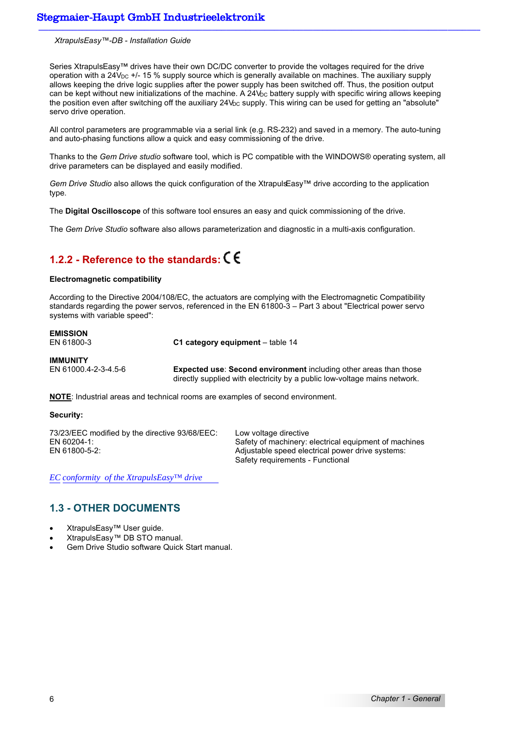Series XtrapulsEasy™ drives have their own DC/DC converter to provide the voltages required for the drive operation with a 24 $V_{\text{DC}}$  +/- 15 % supply source which is generally available on machines. The auxiliary supply allows keeping the drive logic supplies after the power supply has been switched off. Thus, the position output can be kept without new initializations of the machine. A  $24V_{DC}$  battery supply with specific wiring allows keeping the position even after switching off the auxiliary  $24V<sub>DC</sub>$  supply. This wiring can be used for getting an "absolute" servo drive operation.

All control parameters are programmable via a serial link (e.g. RS-232) and saved in a memory. The auto-tuning and auto-phasing functions allow a quick and easy commissioning of the drive.

Thanks to the *Gem Drive studio* software tool, which is PC compatible with the WINDOWS® operating system, all drive parameters can be displayed and easily modified.

*Gem Drive Studio* also allows the quick configuration of the XtrapulsEasy™ drive according to the application type.

The **Digital Oscilloscope** of this software tool ensures an easy and quick commissioning of the drive.

The *Gem Drive Studio* software also allows parameterization and diagnostic in a multi-axis configuration.

## **1.2.2 - Reference to the standards:**

#### **Electromagnetic compatibility**

According to the Directive 2004/108/EC, the actuators are complying with the Electromagnetic Compatibility standards regarding the power servos, referenced in the EN 61800-3 – Part 3 about "Electrical power servo systems with variable speed":

**EMISSION**<br>**EN 61800-3 C1 category equipment** – table 14 **IMMUNITY** 

EN 61000.4-2-3-4.5-6 **Expected use**: **Second environment** including other areas than those directly supplied with electricity by a public low-voltage mains network.

**NOTE**: Industrial areas and technical rooms are examples of second environment.

#### **Security:**

73/23/EEC modified by the directive 93/68/EEC: Low voltage directive

EN 60204-1: Safety of machinery: electrical equipment of machines EN 61800-5-2: Adjustable speed electrical power drive systems: Safety requirements - Functional

*EC conformity of the XtrapulsEasy™ drive*

### **1.3 - OTHER DOCUMENTS**

- XtrapulsEasy™ User guide.
- XtrapulsEasy™ DB STO manual.
- Gem Drive Studio software Quick Start manual.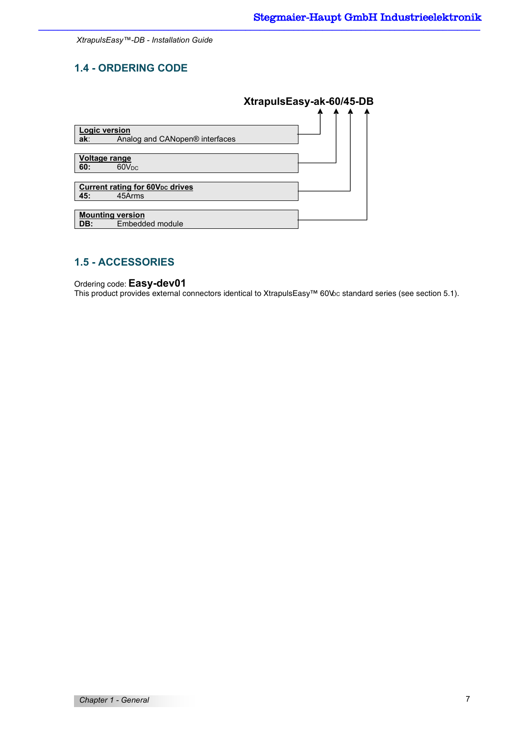## **1.4 - ORDERING CODE**

|                         |                                                   | XtrapulsEasy-ak-60/45-DB |  |  |
|-------------------------|---------------------------------------------------|--------------------------|--|--|
|                         |                                                   |                          |  |  |
| <b>Logic version</b>    |                                                   |                          |  |  |
| ak:                     | Analog and CANopen® interfaces                    |                          |  |  |
|                         |                                                   |                          |  |  |
| Voltage range           |                                                   |                          |  |  |
| 60:                     | 60V <sub>DC</sub>                                 |                          |  |  |
|                         |                                                   |                          |  |  |
|                         | <b>Current rating for 60V<sub>pc</sub> drives</b> |                          |  |  |
| 45:                     | 45Arms                                            |                          |  |  |
|                         |                                                   |                          |  |  |
| <b>Mounting version</b> |                                                   |                          |  |  |
| DB:                     | Embedded module                                   |                          |  |  |

## **1.5 - ACCESSORIES**

Ordering code: **Easy-dev01**

This product provides external connectors identical to XtrapulsEasy™ 60VDC standard series (see section 5.1).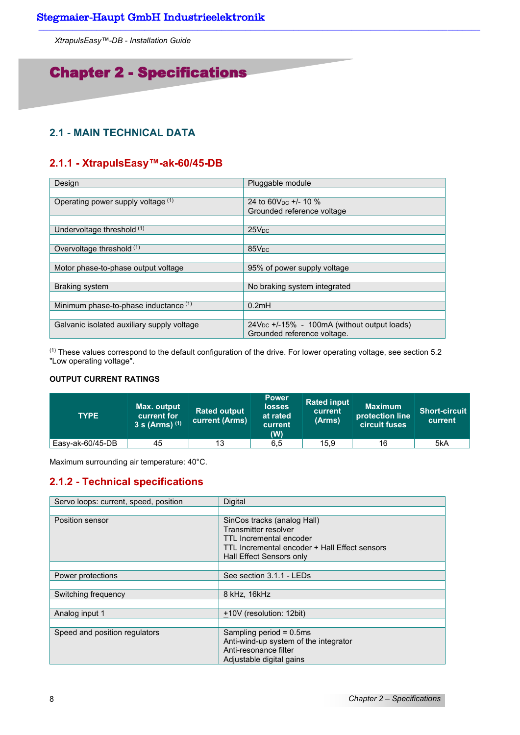## Chapter 2 - Specifications

## **2.1 - MAIN TECHNICAL DATA**

## **2.1.1 - XtrapulsEasy™-ak-60/45-DB**

| Design                                     | Pluggable module                                 |
|--------------------------------------------|--------------------------------------------------|
|                                            |                                                  |
| Operating power supply voltage (1)         | 24 to 60V <sub>pc</sub> $+/- 10 \%$              |
|                                            | Grounded reference voltage                       |
|                                            |                                                  |
| Undervoltage threshold (1)                 | 25V <sub>DC</sub>                                |
|                                            |                                                  |
| Overvoltage threshold (1)                  | 85V <sub>DC</sub>                                |
|                                            |                                                  |
| Motor phase-to-phase output voltage        | 95% of power supply voltage                      |
|                                            |                                                  |
| <b>Braking system</b>                      | No braking system integrated                     |
|                                            |                                                  |
| Minimum phase-to-phase inductance (1)      | 0.2mH                                            |
|                                            |                                                  |
| Galvanic isolated auxiliary supply voltage | $24V_{DC}$ +/-15% - 100mA (without output loads) |
|                                            | Grounded reference voltage.                      |

(1) These values correspond to the default configuration of the drive. For lower operating voltage, see section 5.2 "Low operating voltage".

## **OUTPUT CURRENT RATINGS**

| <b>TYPE</b>      | Max. output<br>current for<br>3 s (Arms) $(1)$ | <b>Rated output</b><br>current (Arms) | <b>Power</b><br><b>losses</b><br>at rated<br>current<br>(W) | <b>Rated input</b><br>current<br>(Arms) | <b>Maximum</b><br>protection line<br><b>circuit fuses</b> | Short-circuit<br>current |
|------------------|------------------------------------------------|---------------------------------------|-------------------------------------------------------------|-----------------------------------------|-----------------------------------------------------------|--------------------------|
| Easy-ak-60/45-DB | 45                                             | 13                                    | 6,5                                                         | 15,9                                    | 16                                                        | 5kA                      |

Maximum surrounding air temperature: 40°C.

## **2.1.2 - Technical specifications**

| Servo loops: current, speed, position | Digital                                       |
|---------------------------------------|-----------------------------------------------|
|                                       |                                               |
| Position sensor                       | SinCos tracks (analog Hall)                   |
|                                       | Transmitter resolver                          |
|                                       | TTL Incremental encoder                       |
|                                       | TTL Incremental encoder + Hall Effect sensors |
|                                       | Hall Effect Sensors only                      |
|                                       |                                               |
| Power protections                     | See section 3.1.1 - LEDs                      |
|                                       |                                               |
| Switching frequency                   | 8 kHz, 16kHz                                  |
|                                       |                                               |
| Analog input 1                        | +10V (resolution: 12bit)                      |
|                                       |                                               |
| Speed and position regulators         | Sampling period $= 0.5$ ms                    |
|                                       | Anti-wind-up system of the integrator         |
|                                       | Anti-resonance filter                         |
|                                       | Adjustable digital gains                      |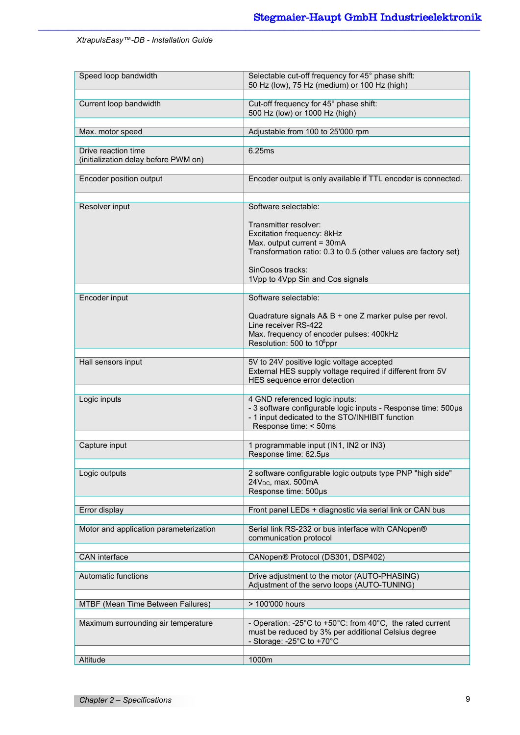| Speed loop bandwidth                                        | Selectable cut-off frequency for 45° phase shift:<br>50 Hz (low), 75 Hz (medium) or 100 Hz (high)                                                                                                |
|-------------------------------------------------------------|--------------------------------------------------------------------------------------------------------------------------------------------------------------------------------------------------|
| Current loop bandwidth                                      | Cut-off frequency for 45° phase shift:<br>500 Hz (low) or 1000 Hz (high)                                                                                                                         |
| Max. motor speed                                            | Adjustable from 100 to 25'000 rpm                                                                                                                                                                |
| Drive reaction time<br>(initialization delay before PWM on) | 6.25ms                                                                                                                                                                                           |
| <b>Encoder position output</b>                              | Encoder output is only available if TTL encoder is connected.                                                                                                                                    |
| Resolver input                                              | Software selectable:<br>Transmitter resolver:<br>Excitation frequency: 8kHz<br>Max. output current = 30mA<br>Transformation ratio: 0.3 to 0.5 (other values are factory set)<br>SinCosos tracks: |
|                                                             | 1Vpp to 4Vpp Sin and Cos signals                                                                                                                                                                 |
| Encoder input                                               | Software selectable:<br>Quadrature signals A& B + one Z marker pulse per revol.<br>Line receiver RS-422<br>Max. frequency of encoder pulses: 400kHz<br>Resolution: 500 to 10 <sup>6</sup> ppr    |
| Hall sensors input                                          | 5V to 24V positive logic voltage accepted<br>External HES supply voltage required if different from 5V<br>HES sequence error detection                                                           |
| Logic inputs                                                | 4 GND referenced logic inputs:<br>- 3 software configurable logic inputs - Response time: 500µs<br>- 1 input dedicated to the STO/INHIBIT function<br>Response time: < 50ms                      |
| Capture input                                               | 1 programmable input (IN1, IN2 or IN3)<br>Response time: 62.5µs                                                                                                                                  |
| Logic outputs                                               | 2 software configurable logic outputs type PNP "high side"<br>24V <sub>DC</sub> , max. 500mA<br>Response time: 500µs                                                                             |
| Error display                                               | Front panel LEDs + diagnostic via serial link or CAN bus                                                                                                                                         |
| Motor and application parameterization                      | Serial link RS-232 or bus interface with CANopen®<br>communication protocol                                                                                                                      |
| CAN interface                                               | CANopen® Protocol (DS301, DSP402)                                                                                                                                                                |
| Automatic functions                                         | Drive adjustment to the motor (AUTO-PHASING)<br>Adjustment of the servo loops (AUTO-TUNING)                                                                                                      |
| MTBF (Mean Time Between Failures)                           | > 100'000 hours                                                                                                                                                                                  |
| Maximum surrounding air temperature                         | - Operation: -25°C to +50°C: from 40°C, the rated current<br>must be reduced by 3% per additional Celsius degree<br>- Storage: -25 $^{\circ}$ C to +70 $^{\circ}$ C                              |
| Altitude                                                    | 1000m                                                                                                                                                                                            |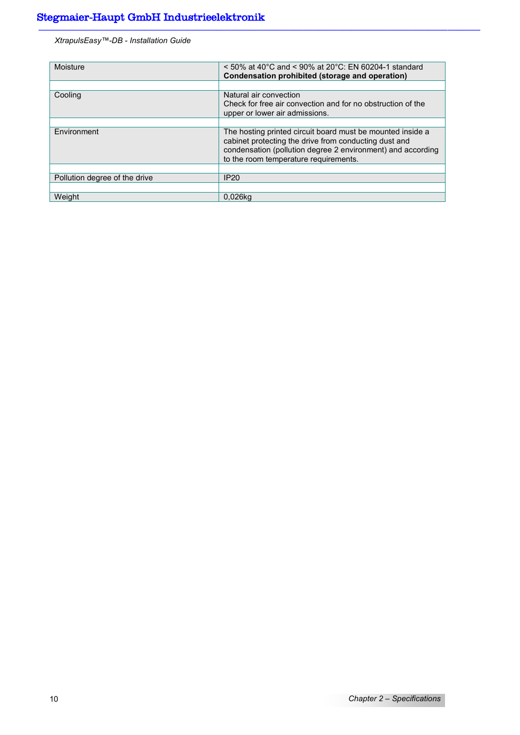| Moisture                      | $\leq$ 50% at 40°C and $\leq$ 90% at 20°C: EN 60204-1 standard<br>Condensation prohibited (storage and operation)                                                                                                           |
|-------------------------------|-----------------------------------------------------------------------------------------------------------------------------------------------------------------------------------------------------------------------------|
|                               |                                                                                                                                                                                                                             |
| Cooling                       | Natural air convection                                                                                                                                                                                                      |
|                               | Check for free air convection and for no obstruction of the                                                                                                                                                                 |
|                               | upper or lower air admissions.                                                                                                                                                                                              |
|                               |                                                                                                                                                                                                                             |
| Environment                   | The hosting printed circuit board must be mounted inside a<br>cabinet protecting the drive from conducting dust and<br>condensation (pollution degree 2 environment) and according<br>to the room temperature requirements. |
|                               |                                                                                                                                                                                                                             |
| Pollution degree of the drive | <b>IP20</b>                                                                                                                                                                                                                 |
|                               |                                                                                                                                                                                                                             |
| Weight                        | 0.026kg                                                                                                                                                                                                                     |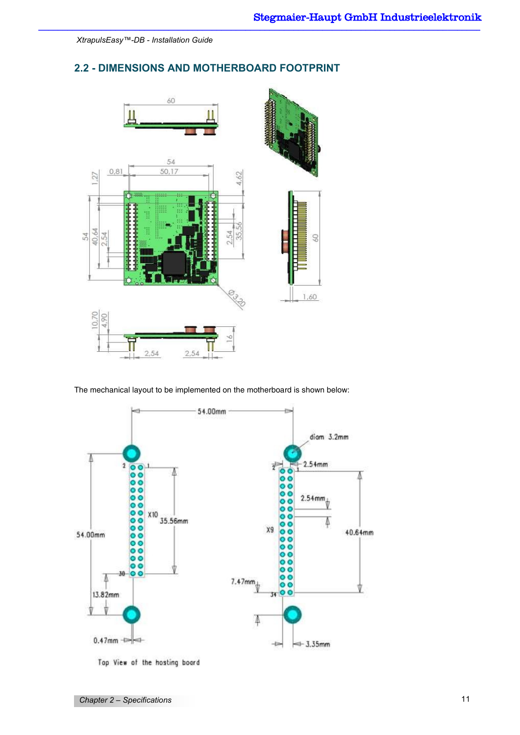## **2.2 - DIMENSIONS AND MOTHERBOARD FOOTPRINT**



The mechanical layout to be implemented on the motherboard is shown below:



Top View of the hosting board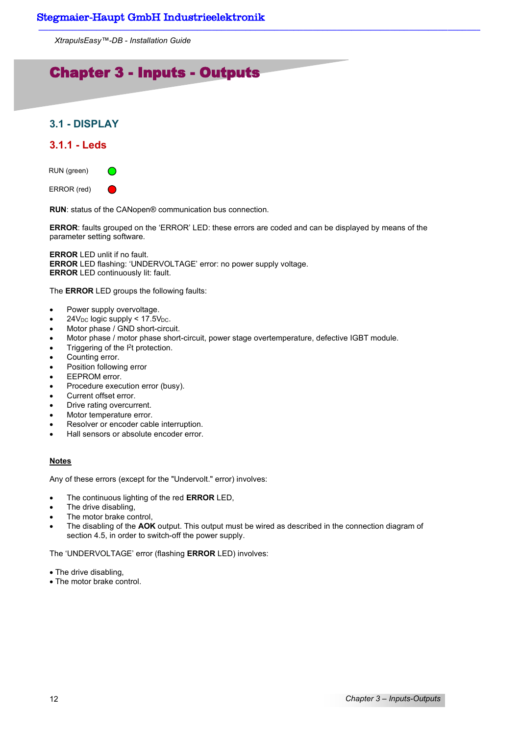## Chapter 3 - Inputs - Outputs

## **3.1 - DISPLAY**

## **3.1.1 - Leds**



**RUN**: status of the CANopen® communication bus connection.

**ERROR**: faults grouped on the 'ERROR' LED: these errors are coded and can be displayed by means of the parameter setting software.

**ERROR** LED unlit if no fault. **ERROR** LED flashing: 'UNDERVOLTAGE' error: no power supply voltage. **ERROR** LED continuously lit: fault.

The **ERROR** LED groups the following faults:

- Power supply overvoltage.
- $24V<sub>DC</sub>$  logic supply < 17.5 $V<sub>DC</sub>$ .
- Motor phase / GND short-circuit.
- Motor phase / motor phase short-circuit, power stage overtemperature, defective IGBT module.
- Triggering of the  $l^2t$  protection.
- Counting error.
- Position following error
- EEPROM error.
- Procedure execution error (busy).
- Current offset error.
- Drive rating overcurrent.
- Motor temperature error.
- Resolver or encoder cable interruption.
- Hall sensors or absolute encoder error.

#### **Notes**

Any of these errors (except for the "Undervolt." error) involves:

- The continuous lighting of the red **ERROR** LED,
- The drive disabling,
- The motor brake control,
- The disabling of the **AOK** output. This output must be wired as described in the connection diagram of section 4.5, in order to switch-off the power supply.

The 'UNDERVOLTAGE' error (flashing **ERROR** LED) involves:

- The drive disabling,
- The motor brake control.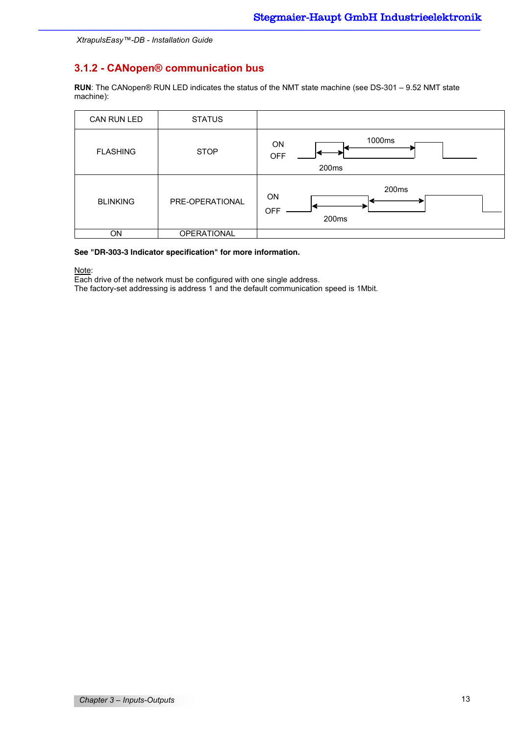## **3.1.2 - CANopen® communication bus**

**RUN**: The CANopen® RUN LED indicates the status of the NMT state machine (see DS-301 – 9.52 NMT state machine):

| CAN RUN LED     | <b>STATUS</b>   |                                                        |
|-----------------|-----------------|--------------------------------------------------------|
| <b>FLASHING</b> | <b>STOP</b>     | 1000ms<br><b>ON</b><br><b>OFF</b><br>200 <sub>ms</sub> |
| <b>BLINKING</b> | PRE-OPERATIONAL | 200ms<br><b>ON</b><br><b>OFF</b><br>200ms              |
| ON              | OPERATIONAL     |                                                        |

#### **See "DR-303-3 Indicator specification" for more information.**

Note:

Each drive of the network must be configured with one single address.

The factory-set addressing is address 1 and the default communication speed is 1Mbit.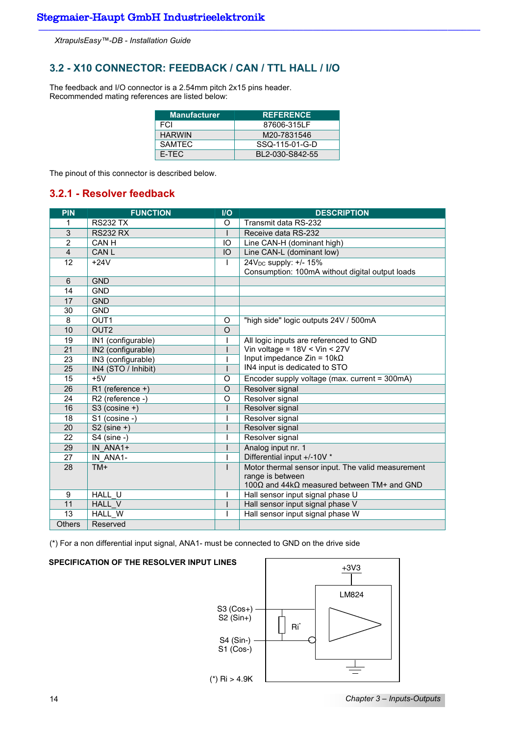## **3.2 - X10 CONNECTOR: FEEDBACK / CAN / TTL HALL / I/O**

The feedback and I/O connector is a 2.54mm pitch 2x15 pins header. Recommended mating references are listed below:

| <b>Manufacturer</b> | <b>REFERENCE</b> |
|---------------------|------------------|
| FCI                 | 87606-315LF      |
| <b>HARWIN</b>       | M20-7831546      |
| <b>SAMTEC</b>       | SSQ-115-01-G-D   |
| F-TFC               | BI 2-030-S842-55 |

The pinout of this connector is described below.

## **3.2.1 - Resolver feedback**

| <b>PIN</b>     | <b>FUNCTION</b>     | $1/O$    | <b>DESCRIPTION</b>                                |
|----------------|---------------------|----------|---------------------------------------------------|
| 1              | <b>RS232 TX</b>     | $\circ$  | Transmit data RS-232                              |
| $\mathsf 3$    | <b>RS232 RX</b>     |          | Receive data RS-232                               |
| $\overline{2}$ | CAN H               | IO       | Line CAN-H (dominant high)                        |
| $\overline{4}$ | <b>CANL</b>         | IO       | Line CAN-L (dominant low)                         |
| 12             | $+24V$              |          | 24V <sub>DC</sub> supply: +/- 15%                 |
|                |                     |          | Consumption: 100mA without digital output loads   |
| 6              | <b>GND</b>          |          |                                                   |
| 14             | <b>GND</b>          |          |                                                   |
| 17             | <b>GND</b>          |          |                                                   |
| 30             | <b>GND</b>          |          |                                                   |
| 8              | OUT <sub>1</sub>    | O        | "high side" logic outputs 24V / 500mA             |
| 10             | OUT <sub>2</sub>    | $\Omega$ |                                                   |
| 19             | IN1 (configurable)  |          | All logic inputs are referenced to GND            |
| 21             | IN2 (configurable)  |          | Vin voltage = $18V <$ Vin < 27V                   |
| 23             | IN3 (configurable)  |          | Input impedance $Z$ in = 10k $\Omega$             |
| 25             | IN4 (STO / Inhibit) | I        | IN4 input is dedicated to STO                     |
| 15             | $+5V$               | O        | Encoder supply voltage (max. current = 300mA)     |
| 26             | $R1$ (reference +)  | $\Omega$ | Resolver signal                                   |
| 24             | R2 (reference -)    | O        | Resolver signal                                   |
| 16             | S3 (cosine +)       |          | Resolver signal                                   |
| 18             | S1 (cosine -)       |          | Resolver signal                                   |
| 20             | $S2$ (sine +)       |          | Resolver signal                                   |
| 22             | $S4$ (sine -)       |          | Resolver signal                                   |
| 29             | $IN$ $ANA1+$        |          | Analog input nr. 1                                |
| 27             | IN ANA1-            |          | Differential input +/-10V *                       |
| 28             | TM+                 | I        | Motor thermal sensor input. The valid measurement |
|                |                     |          | range is between                                  |
|                |                     |          | 100Ω and 44kΩ measured between TM+ and GND        |
| 9              | HALL U              |          | Hall sensor input signal phase U                  |
| 11             | HALL V              |          | Hall sensor input signal phase V                  |
| 13             | HALL W              |          | Hall sensor input signal phase W                  |
| <b>Others</b>  | Reserved            |          |                                                   |

(\*) For a non differential input signal, ANA1- must be connected to GND on the drive side

#### **SPECIFICATION OF THE RESOLVER INPUT LINES**

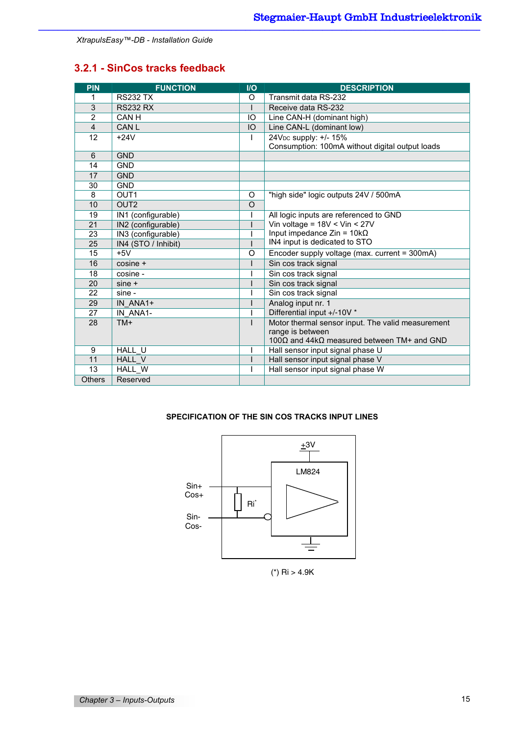## **3.2.1 - SinCos tracks feedback**

| <b>PIN</b>     | <b>FUNCTION</b>     | $II$         | <b>DESCRIPTION</b>                                |
|----------------|---------------------|--------------|---------------------------------------------------|
| 1              | <b>RS232 TX</b>     | $\circ$      | Transmit data RS-232                              |
| 3              | <b>RS232 RX</b>     |              | Receive data RS-232                               |
| $\overline{2}$ | CAN H               | IO           | Line CAN-H (dominant high)                        |
| $\overline{4}$ | CAN L               | IO           | Line CAN-L (dominant low)                         |
| 12             | $+24V$              | $\mathsf{I}$ | 24V <sub>DC</sub> supply: +/- 15%                 |
|                |                     |              | Consumption: 100mA without digital output loads   |
| 6              | <b>GND</b>          |              |                                                   |
| 14             | <b>GND</b>          |              |                                                   |
| 17             | <b>GND</b>          |              |                                                   |
| 30             | <b>GND</b>          |              |                                                   |
| 8              | OUT <sub>1</sub>    | O            | "high side" logic outputs 24V / 500mA             |
| 10             | OUT <sub>2</sub>    | $\Omega$     |                                                   |
| 19             | IN1 (configurable)  |              | All logic inputs are referenced to GND            |
| 21             | IN2 (configurable)  |              | Vin voltage = $18V <$ Vin < 27V                   |
| 23             | IN3 (configurable)  |              | Input impedance $Z$ in = 10k $\Omega$             |
| 25             | IN4 (STO / Inhibit) |              | IN4 input is dedicated to STO                     |
| 15             | $+5V$               | O            | Encoder supply voltage (max. current = 300mA)     |
| 16             | $cosine +$          |              | Sin cos track signal                              |
| 18             | cosine -            |              | Sin cos track signal                              |
| 20             | $sine +$            |              | Sin cos track signal                              |
| 22             | sine -              |              | Sin cos track signal                              |
| 29             | IN ANA1+            |              | Analog input nr. 1                                |
| 27             | IN ANA1-            |              | Differential input +/-10V *                       |
| 28             | TM+                 | L            | Motor thermal sensor input. The valid measurement |
|                |                     |              | range is between                                  |
|                |                     |              | $100Ω$ and 44kΩ measured between TM+ and GND      |
| 9              | HALL U              |              | Hall sensor input signal phase U                  |
| 11             | HALL V              |              | Hall sensor input signal phase V                  |
| 13             | HALL W              |              | Hall sensor input signal phase W                  |
| <b>Others</b>  | Reserved            |              |                                                   |

## **SPECIFICATION OF THE SIN COS TRACKS INPUT LINES**



(\*)  $\text{Ri} > 4.9\text{K}$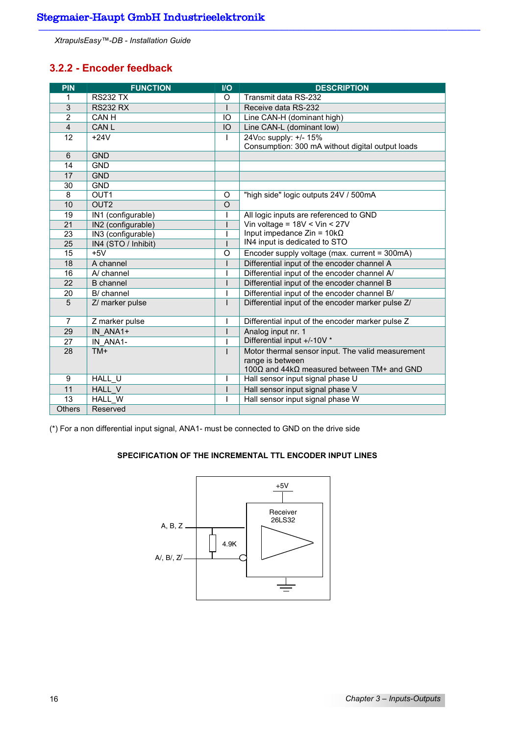## **3.2.2 - Encoder feedback**

| PIN             | <b>FUNCTION</b>     | $1/O$    | <b>DESCRIPTION</b>                                |
|-----------------|---------------------|----------|---------------------------------------------------|
| 1               | <b>RS232 TX</b>     | O        | Transmit data RS-232                              |
| 3               | <b>RS232 RX</b>     |          | Receive data RS-232                               |
| $\overline{2}$  | CAN H               | IO       | Line CAN-H (dominant high)                        |
| $\overline{4}$  | <b>CAN L</b>        | IO       | Line CAN-L (dominant low)                         |
| 12              | $+24V$              |          | 24V <sub>DC</sub> supply: +/- 15%                 |
|                 |                     |          | Consumption: 300 mA without digital output loads  |
| 6               | <b>GND</b>          |          |                                                   |
| 14              | <b>GND</b>          |          |                                                   |
| 17              | <b>GND</b>          |          |                                                   |
| 30              | <b>GND</b>          |          |                                                   |
| 8               | OUT <sub>1</sub>    | O        | "high side" logic outputs 24V / 500mA             |
| 10              | OUT <sub>2</sub>    | $\Omega$ |                                                   |
| 19              | IN1 (configurable)  |          | All logic inputs are referenced to GND            |
| $\overline{21}$ | IN2 (configurable)  |          | Vin voltage = $18V <$ Vin < 27V                   |
| 23              | IN3 (configurable)  |          | Input impedance $Z$ in = 10k $\Omega$             |
| $\overline{25}$ | IN4 (STO / Inhibit) |          | IN4 input is dedicated to STO                     |
| 15              | $+5V$               | O        | Encoder supply voltage (max. current = 300mA)     |
| 18              | A channel           |          | Differential input of the encoder channel A       |
| 16              | A/ channel          |          | Differential input of the encoder channel A/      |
| 22              | <b>B</b> channel    |          | Differential input of the encoder channel B       |
| 20              | B/ channel          |          | Differential input of the encoder channel B/      |
| 5               | Z/ marker pulse     |          | Differential input of the encoder marker pulse Z/ |
| $\overline{7}$  | Z marker pulse      |          | Differential input of the encoder marker pulse Z  |
| 29              | IN ANA1+            |          | Analog input nr. 1                                |
| 27              | IN ANA1-            |          | Differential input +/-10V *                       |
| 28              | $TM+$               |          | Motor thermal sensor input. The valid measurement |
|                 |                     |          | range is between                                  |
|                 |                     |          | 100Ω and 44kΩ measured between TM+ and GND        |
| 9               | <b>HALL U</b>       |          | Hall sensor input signal phase U                  |
| 11              | HALL V              |          | Hall sensor input signal phase V                  |
| $\overline{13}$ | HALL W              |          | Hall sensor input signal phase W                  |
| <b>Others</b>   | Reserved            |          |                                                   |

(\*) For a non differential input signal, ANA1- must be connected to GND on the drive side

## **SPECIFICATION OF THE INCREMENTAL TTL ENCODER INPUT LINES**

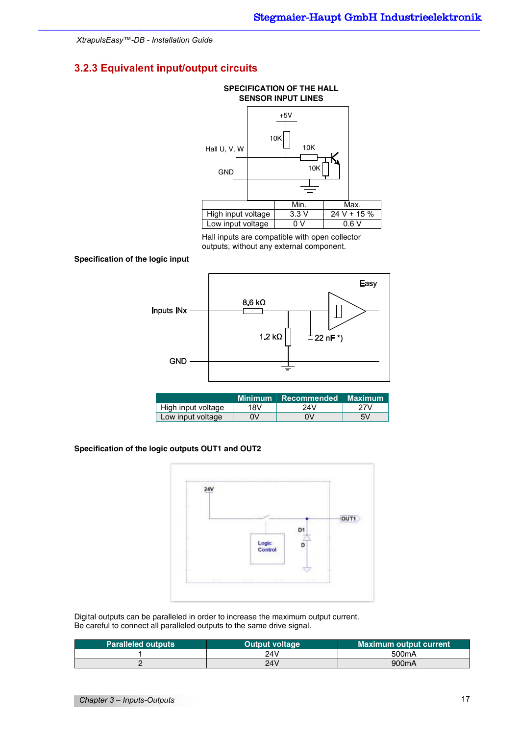## **3.2.3 Equivalent input/output circuits**



Hall inputs are compatible with open collector outputs, without any external component.

#### **Specification of the logic input**



|                    | <b>Minimum</b> | Recommended Maximum' |     |
|--------------------|----------------|----------------------|-----|
| High input voltage | 18V            | 24V                  | 27V |
| Low input voltage  | 0V             | 0V                   | 5V  |

#### **Specification of the logic outputs OUT1 and OUT2**



Digital outputs can be paralleled in order to increase the maximum output current. Be careful to connect all paralleled outputs to the same drive signal.

| <b>Paralleled outputs</b> | <b>Output voltage</b> | <b>Maximum output current</b> |
|---------------------------|-----------------------|-------------------------------|
|                           | 24V                   | 500 <sub>m</sub> A            |
|                           | 24V                   | 900mA                         |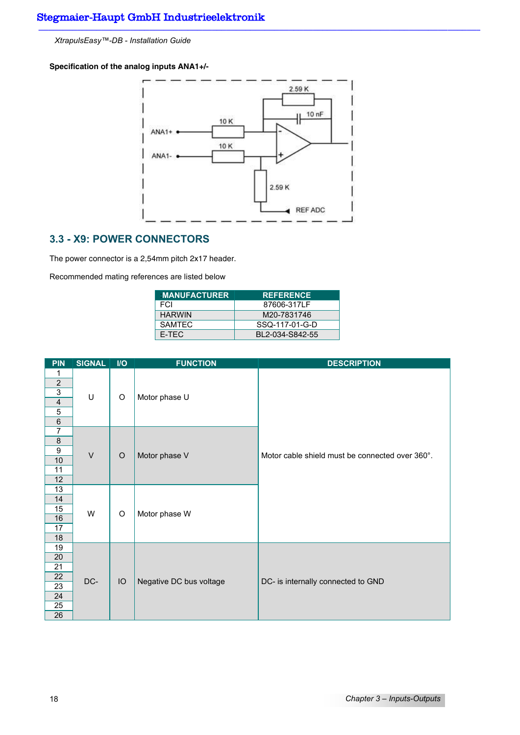**Specification of the analog inputs ANA1+/-**



## **3.3 - X9: POWER CONNECTORS**

The power connector is a 2,54mm pitch 2x17 header.

Recommended mating references are listed below

| <b>MANUFACTURER</b> | <b>REFERENCE</b> |
|---------------------|------------------|
| <b>FCI</b>          | 87606-317LF      |
| <b>HARWIN</b>       | M20-7831746      |
| <b>SAMTEC</b>       | SSQ-117-01-G-D   |
| F-TFC               | BI 2-034-S842-55 |

| <b>PIN</b>                              | <b>SIGNAL</b> | $1/O$   | <b>FUNCTION</b>         | <b>DESCRIPTION</b>                              |
|-----------------------------------------|---------------|---------|-------------------------|-------------------------------------------------|
| 1                                       |               |         |                         |                                                 |
| $\overline{2}$                          |               |         |                         |                                                 |
| $\overline{3}$                          | $\sf U$       | O       | Motor phase U           |                                                 |
| $\overline{\mathbf{4}}$                 |               |         |                         |                                                 |
| $\overline{5}$                          |               |         |                         |                                                 |
| $\overline{6}$                          |               |         |                         |                                                 |
| $\overline{7}$                          |               |         |                         |                                                 |
| 8                                       |               |         |                         |                                                 |
| $\boldsymbol{9}$                        | $\vee$        | $\circ$ | Motor phase V           | Motor cable shield must be connected over 360°. |
| 10                                      |               |         |                         |                                                 |
| 11                                      |               |         |                         |                                                 |
| 12                                      |               |         |                         |                                                 |
| 13                                      |               |         |                         |                                                 |
| 14                                      |               |         |                         |                                                 |
| 15                                      | W             | O       | Motor phase W           |                                                 |
| 16                                      |               |         |                         |                                                 |
| 17                                      |               |         |                         |                                                 |
| 18                                      |               |         |                         |                                                 |
| 19                                      |               |         |                         |                                                 |
| 20                                      |               |         |                         |                                                 |
| 21                                      |               | IO      |                         |                                                 |
|                                         | DC-           |         | Negative DC bus voltage | DC- is internally connected to GND              |
|                                         |               |         |                         |                                                 |
|                                         |               |         |                         |                                                 |
|                                         |               |         |                         |                                                 |
| 22<br>$\overline{23}$<br>24<br>25<br>26 |               |         |                         |                                                 |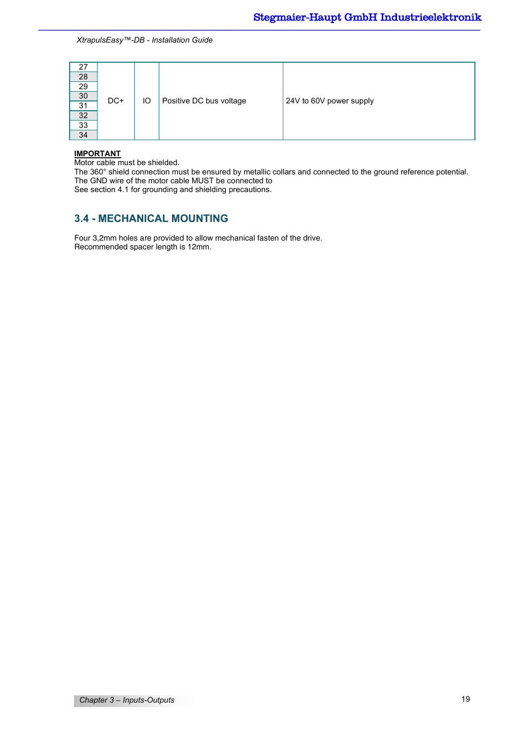| 27              |     |    |                         |                         |
|-----------------|-----|----|-------------------------|-------------------------|
| 28              |     |    |                         |                         |
| 29              |     |    |                         |                         |
| 30 <sup>°</sup> | DC+ | IO | Positive DC bus voltage | 24V to 60V power supply |
| 31              |     |    |                         |                         |
| 32              |     |    |                         |                         |
| 33              |     |    |                         |                         |
| 34              |     |    |                         |                         |

#### **IMPORTANT**

Motor cable must be shielded.

The 360° shield connection must be ensured by metallic collars and connected to the ground reference potential. The GND wire of the motor cable MUST be connected to

See section 4.1 for grounding and shielding precautions.

## **3.4 - MECHANICAL MOUNTING**

Four 3,2mm holes are provided to allow mechanical fasten of the drive. Recommended spacer length is 12mm.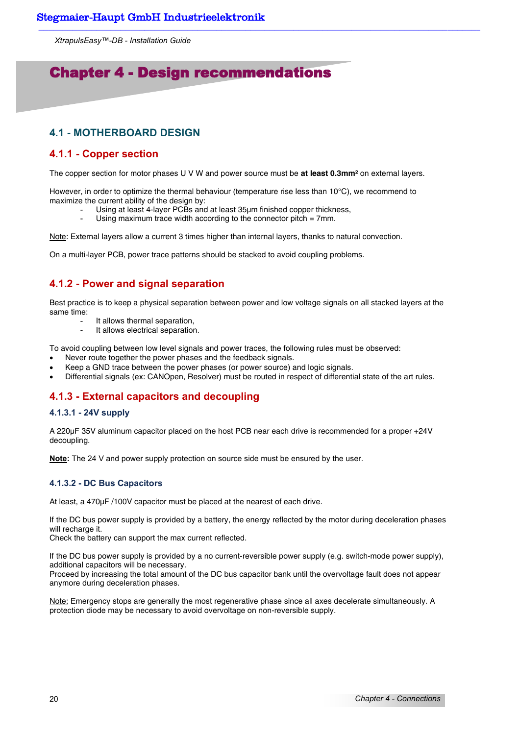## Chapter 4 - Design recommendations

## **4.1 - MOTHERBOARD DESIGN**

## **4.1.1 - Copper section**

The copper section for motor phases U V W and power source must be **at least 0.3mm²** on external layers.

However, in order to optimize the thermal behaviour (temperature rise less than 10°C), we recommend to maximize the current ability of the design by:

- Using at least 4-layer PCBs and at least 35µm finished copper thickness,
- Using maximum trace width according to the connector pitch  $= 7$ mm.

Note: External layers allow a current 3 times higher than internal layers, thanks to natural convection.

On a multi-layer PCB, power trace patterns should be stacked to avoid coupling problems.

## **4.1.2 - Power and signal separation**

Best practice is to keep a physical separation between power and low voltage signals on all stacked layers at the same time:

- It allows thermal separation.
- It allows electrical separation.

To avoid coupling between low level signals and power traces, the following rules must be observed:

- Never route together the power phases and the feedback signals.
- Keep a GND trace between the power phases (or power source) and logic signals.
- Differential signals (ex: CANOpen, Resolver) must be routed in respect of differential state of the art rules.

## **4.1.3 - External capacitors and decoupling**

#### **4.1.3.1 - 24V supply**

A 220µF 35V aluminum capacitor placed on the host PCB near each drive is recommended for a proper +24V decoupling.

**Note:** The 24 V and power supply protection on source side must be ensured by the user.

#### **4.1.3.2 - DC Bus Capacitors**

At least, a 470µF /100V capacitor must be placed at the nearest of each drive.

If the DC bus power supply is provided by a battery, the energy reflected by the motor during deceleration phases will recharge it.

Check the battery can support the max current reflected.

If the DC bus power supply is provided by a no current-reversible power supply (e.g. switch-mode power supply), additional capacitors will be necessary.

Proceed by increasing the total amount of the DC bus capacitor bank until the overvoltage fault does not appear anymore during deceleration phases.

Note: Emergency stops are generally the most regenerative phase since all axes decelerate simultaneously. A protection diode may be necessary to avoid overvoltage on non-reversible supply.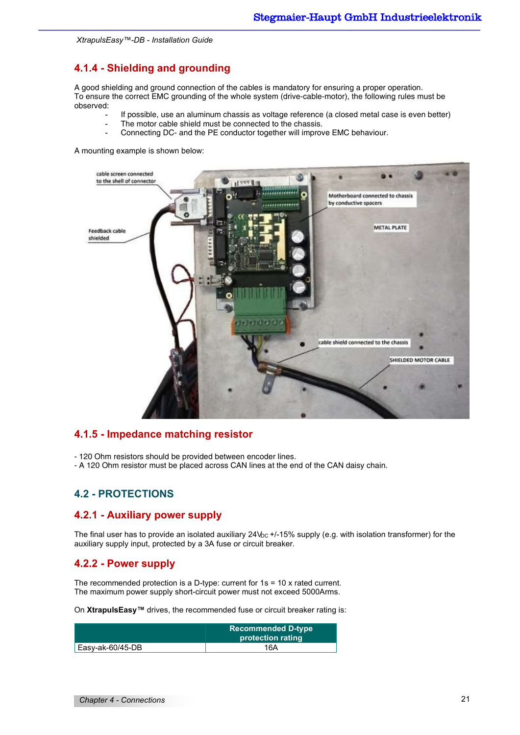## **4.1.4 - Shielding and grounding**

A good shielding and ground connection of the cables is mandatory for ensuring a proper operation. To ensure the correct EMC grounding of the whole system (drive-cable-motor), the following rules must be observed:

- If possible, use an aluminum chassis as voltage reference (a closed metal case is even better)
	- The motor cable shield must be connected to the chassis.
- Connecting DC- and the PE conductor together will improve EMC behaviour.

A mounting example is shown below:



## **4.1.5 - Impedance matching resistor**

- 120 Ohm resistors should be provided between encoder lines.
- A 120 Ohm resistor must be placed across CAN lines at the end of the CAN daisy chain.

## **4.2 - PROTECTIONS**

## **4.2.1 - Auxiliary power supply**

The final user has to provide an isolated auxiliary  $24V_{DC}$  +/-15% supply (e.g. with isolation transformer) for the auxiliary supply input, protected by a 3A fuse or circuit breaker.

### **4.2.2 - Power supply**

The recommended protection is a D-type: current for 1s = 10 x rated current. The maximum power supply short-circuit power must not exceed 5000Arms.

On **XtrapulsEasy™** drives, the recommended fuse or circuit breaker rating is:

|                          | Recommended D-type l<br>protection rating |
|--------------------------|-------------------------------------------|
| $\vert$ Easy-ak-60/45-DB | 16A                                       |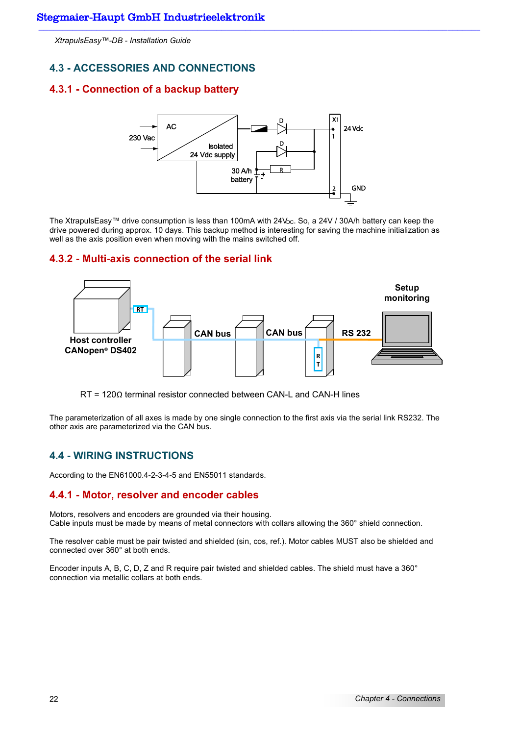## **4.3 - ACCESSORIES AND CONNECTIONS**

## **4.3.1 - Connection of a backup battery**



The XtrapulsEasy™ drive consumption is less than 100mA with 24V<sub>bC</sub>. So, a 24V / 30A/h battery can keep the drive powered during approx. 10 days. This backup method is interesting for saving the machine initialization as well as the axis position even when moving with the mains switched off.

#### **4.3.2 - Multi-axis connection of the serial link**



RT = 120Ω terminal resistor connected between CAN-L and CAN-H lines

The parameterization of all axes is made by one single connection to the first axis via the serial link RS232. The other axis are parameterized via the CAN bus.

## **4.4 - WIRING INSTRUCTIONS**

According to the EN61000.4-2-3-4-5 and EN55011 standards.

### **4.4.1 - Motor, resolver and encoder cables**

Motors, resolvers and encoders are grounded via their housing. Cable inputs must be made by means of metal connectors with collars allowing the 360° shield connection.

The resolver cable must be pair twisted and shielded (sin, cos, ref.). Motor cables MUST also be shielded and connected over 360° at both ends.

Encoder inputs A, B, C, D, Z and R require pair twisted and shielded cables. The shield must have a 360° connection via metallic collars at both ends.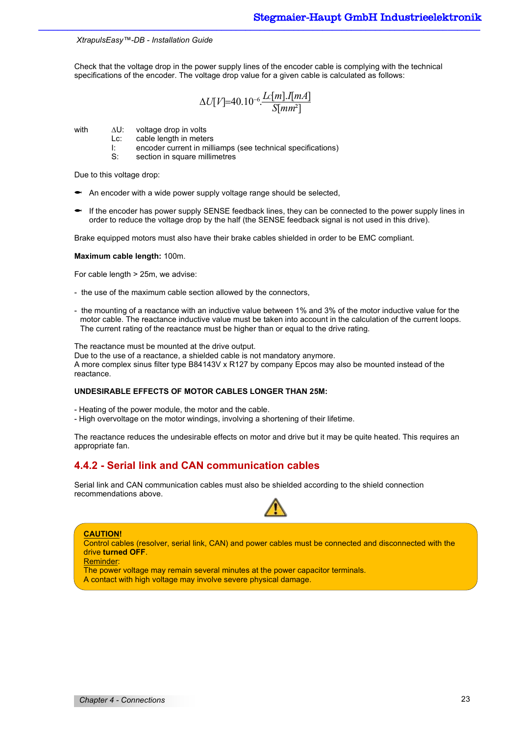Check that the voltage drop in the power supply lines of the encoder cable is complying with the technical specifications of the encoder. The voltage drop value for a given cable is calculated as follows:

$$
\Delta U[V]{=}40.10^{-6} \frac{L[m].I[mA]}{S[mm^2]}
$$

with  $\Delta U$ : voltage drop in volts

- Lc: cable length in meters
- I: encoder current in milliamps (see technical specifications)
- S: section in square millimetres

Due to this voltage drop:

- $\bullet$  An encoder with a wide power supply voltage range should be selected,
- If the encoder has power supply SENSE feedback lines, they can be connected to the power supply lines in order to reduce the voltage drop by the half (the SENSE feedback signal is not used in this drive).

Brake equipped motors must also have their brake cables shielded in order to be EMC compliant.

#### **Maximum cable length:** 100m.

For cable length > 25m, we advise:

- the use of the maximum cable section allowed by the connectors,
- the mounting of a reactance with an inductive value between 1% and 3% of the motor inductive value for the motor cable. The reactance inductive value must be taken into account in the calculation of the current loops. The current rating of the reactance must be higher than or equal to the drive rating.

The reactance must be mounted at the drive output.

Due to the use of a reactance, a shielded cable is not mandatory anymore. A more complex sinus filter type B84143V x R127 by company Epcos may also be mounted instead of the reactance.

#### **UNDESIRABLE EFFECTS OF MOTOR CABLES LONGER THAN 25M:**

- Heating of the power module, the motor and the cable.

- High overvoltage on the motor windings, involving a shortening of their lifetime.

The reactance reduces the undesirable effects on motor and drive but it may be quite heated. This requires an appropriate fan.

## **4.4.2 - Serial link and CAN communication cables**

Serial link and CAN communication cables must also be shielded according to the shield connection recommendations above.



#### **CAUTION!**  Control cables (resolver, serial link, CAN) and power cables must be connected and disconnected with the drive **turned OFF**.

Reminder:

The power voltage may remain several minutes at the power capacitor terminals. A contact with high voltage may involve severe physical damage.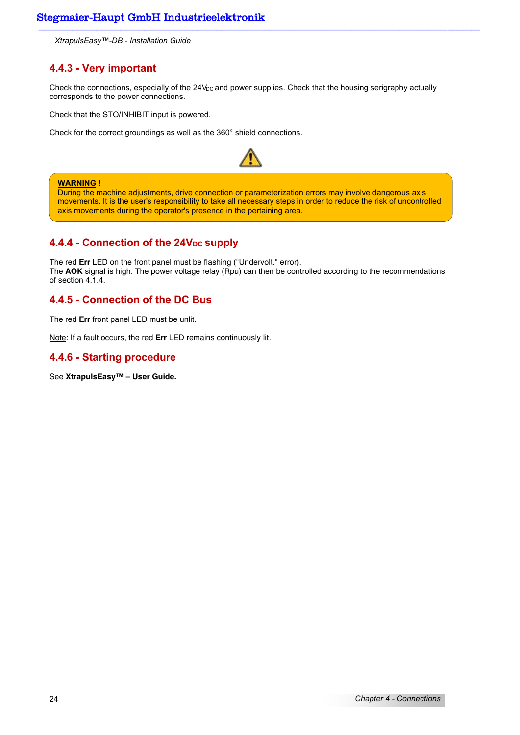## **4.4.3 - Very important**

Check the connections, especially of the 24V<sub>DC</sub> and power supplies. Check that the housing serigraphy actually corresponds to the power connections.

Check that the STO/INHIBIT input is powered.

Check for the correct groundings as well as the 360° shield connections.



#### **WARNING !**

During the machine adjustments, drive connection or parameterization errors may involve dangerous axis movements. It is the user's responsibility to take all necessary steps in order to reduce the risk of uncontrolled axis movements during the operator's presence in the pertaining area.

## **4.4.4 - Connection of the 24V<sub>DC</sub> supply**

The red **Err** LED on the front panel must be flashing ("Undervolt." error). The **AOK** signal is high. The power voltage relay (Rpu) can then be controlled according to the recommendations of section 4.1.4.

## **4.4.5 - Connection of the DC Bus**

The red **Err** front panel LED must be unlit.

Note: If a fault occurs, the red **Err** LED remains continuously lit.

## **4.4.6 - Starting procedure**

See **XtrapulsEasy™ – User Guide.**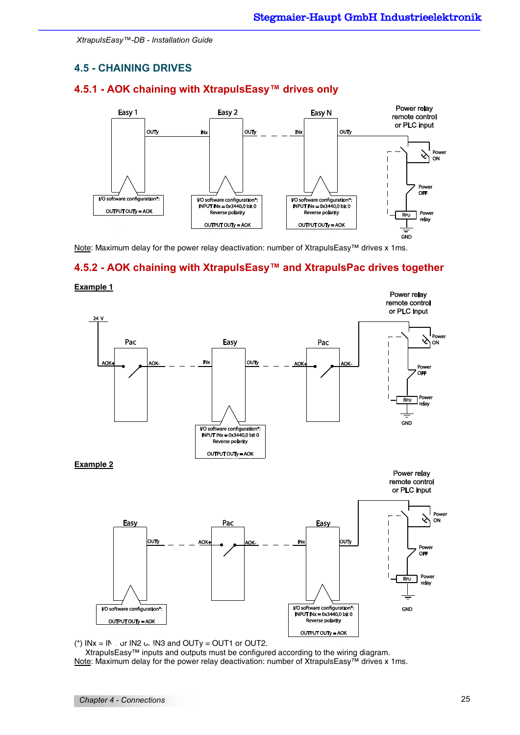## **4.5 - CHAINING DRIVES**

## **4.5.1 - AOK chaining with XtrapulsEasy™ drives only**



Note: Maximum delay for the power relay deactivation: number of XtrapulsEasy™ drives x 1ms.

## **4.5.2 - AOK chaining with XtrapulsEasy™ and XtrapulsPac drives together**



**Example 1** 



 XtrapulsEasy™ inputs and outputs must be configured according to the wiring diagram. Note: Maximum delay for the power relay deactivation: number of XtrapulsEasy™ drives x 1ms.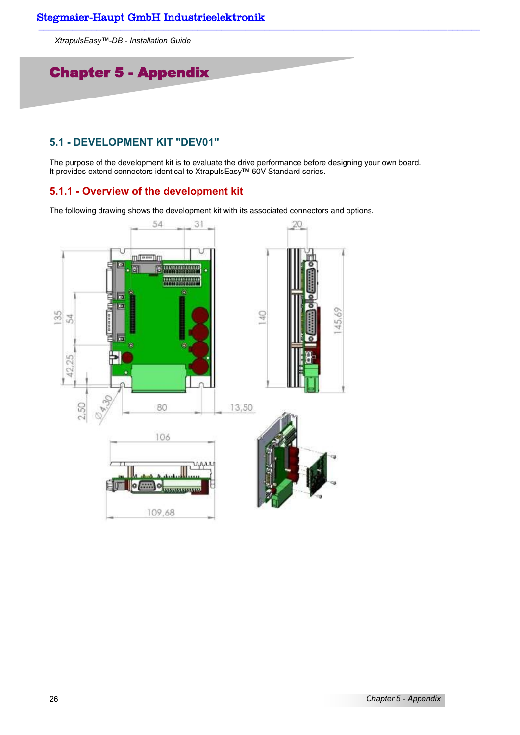## Chapter 5 - Appendix

## **5.1 - DEVELOPMENT KIT "DEV01"**

The purpose of the development kit is to evaluate the drive performance before designing your own board. It provides extend connectors identical to XtrapulsEasy™ 60V Standard series.

## **5.1.1 - Overview of the development kit**

The following drawing shows the development kit with its associated connectors and options.

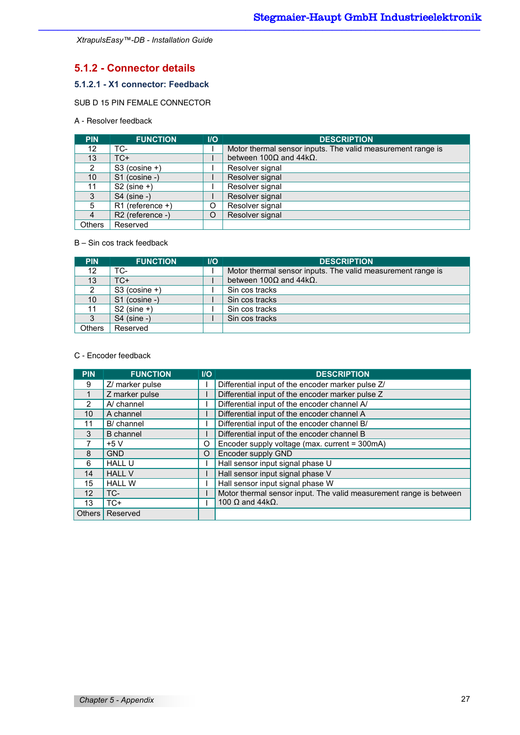## **5.1.2 - Connector details**

## **5.1.2.1 - X1 connector: Feedback**

SUB D 15 PIN FEMALE CONNECTOR

## A - Resolver feedback

| PIN.            | <b>FUNCTION</b>    | $\overline{U}$ | <b>DESCRIPTION</b>                                          |
|-----------------|--------------------|----------------|-------------------------------------------------------------|
| 12              | TC-                |                | Motor thermal sensor inputs. The valid measurement range is |
| 13              | $TC+$              |                | between 100 $\Omega$ and 44k $\Omega$ .                     |
| 2               | $S3$ (cosine +)    |                | Resolver signal                                             |
| 10 <sup>°</sup> | S1 (cosine -)      |                | Resolver signal                                             |
| 11              | $S2$ (sine +)      |                | Resolver signal                                             |
| 3               | $S4$ (sine -)      |                | Resolver signal                                             |
| 5               | $R1$ (reference +) | O              | Resolver signal                                             |
| 4               | R2 (reference -)   | O              | Resolver signal                                             |
| Others          | Reserved           |                |                                                             |

#### B – Sin cos track feedback

| <b>PIN</b>      | <b>FUNCTION</b> | <b>I/O</b> | <b>DESCRIPTION</b>                                          |
|-----------------|-----------------|------------|-------------------------------------------------------------|
| 12              | TC-             |            | Motor thermal sensor inputs. The valid measurement range is |
| 13              | TC+             |            | between $100\Omega$ and $44k\Omega$ .                       |
| 2               | $S3$ (cosine +) |            | Sin cos tracks                                              |
| 10 <sup>1</sup> | S1 (cosine -)   |            | Sin cos tracks                                              |
| 11              | $S2$ (sine +)   |            | Sin cos tracks                                              |
| 3               | $S4$ (sine -)   |            | Sin cos tracks                                              |
| Others          | Reserved        |            |                                                             |

#### C - Encoder feedback

| <b>PIN</b> | <b>FUNCTION</b>  | $II$ | <b>DESCRIPTION</b>                                                 |
|------------|------------------|------|--------------------------------------------------------------------|
| 9          | Z/ marker pulse  |      | Differential input of the encoder marker pulse Z/                  |
|            | Z marker pulse   |      | Differential input of the encoder marker pulse Z                   |
| 2          | A/ channel       |      | Differential input of the encoder channel A/                       |
| 10         | A channel        |      | Differential input of the encoder channel A                        |
| 11         | B/ channel       |      | Differential input of the encoder channel B/                       |
| 3          | <b>B</b> channel |      | Differential input of the encoder channel B                        |
|            | $+5V$            | O    | Encoder supply voltage (max. current = 300mA)                      |
| 8          | <b>GND</b>       | O    | Encoder supply GND                                                 |
| 6          | <b>HALL U</b>    |      | Hall sensor input signal phase U                                   |
| 14         | <b>HALL V</b>    |      | Hall sensor input signal phase V                                   |
| 15         | <b>HALL W</b>    |      | Hall sensor input signal phase W                                   |
| 12         | TC-              |      | Motor thermal sensor input. The valid measurement range is between |
| 13         | $TC+$            |      | 100 $\Omega$ and 44k $\Omega$ .                                    |
| Others I   | Reserved         |      |                                                                    |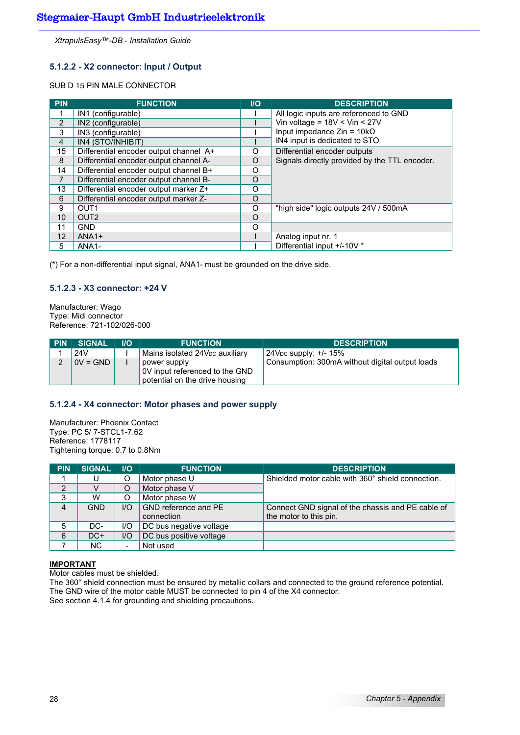### **5.1.2.2 - X2 connector: Input / Output**

#### SUB D 15 PIN MALE CONNECTOR

| <b>PIN</b>     | <b>FUNCTION</b>                        | $\overline{U}$ | <b>DESCRIPTION</b>                            |
|----------------|----------------------------------------|----------------|-----------------------------------------------|
|                | IN1 (configurable)                     |                | All logic inputs are referenced to GND        |
| $\overline{2}$ | IN2 (configurable)                     |                | Vin voltage = $18V <$ Vin < $27V$             |
| 3              | IN3 (configurable)                     |                | Input impedance $Z$ in = 10k $\Omega$         |
| $\overline{4}$ | IN4 (STO/INHIBIT)                      |                | IN4 input is dedicated to STO                 |
| 15             | Differential encoder output channel A+ | O              | Differential encoder outputs                  |
| 8              | Differential encoder output channel A- | O              | Signals directly provided by the TTL encoder. |
| 14             | Differential encoder output channel B+ | O              |                                               |
| 7              | Differential encoder output channel B- | O              |                                               |
| 13             | Differential encoder output marker Z+  | O              |                                               |
| 6              | Differential encoder output marker Z-  | $\Omega$       |                                               |
| 9              | OUT <sub>1</sub>                       | O              | "high side" logic outputs 24V / 500mA         |
| 10             | OUT <sub>2</sub>                       | O              |                                               |
| 11             | <b>GND</b>                             | $\Omega$       |                                               |
| 12             | $ANA1+$                                |                | Analog input nr. 1                            |
| 5              | ANA <sub>1</sub> -                     |                | Differential input +/-10V *                   |

(\*) For a non-differential input signal, ANA1- must be grounded on the drive side.

#### **5.1.2.3 - X3 connector: +24 V**

Manufacturer: Wago Type: Midi connector Reference: 721-102/026-000

| <b>PIN</b> | <b>SIGNAL</b> | $\overline{U}$ | <b>FUNCTION</b>                                                                  | <b>DESCRIPTION</b>                              |
|------------|---------------|----------------|----------------------------------------------------------------------------------|-------------------------------------------------|
|            | 24V           |                | Mains isolated $24VDC$ auxiliary                                                 | $24V_{DC}$ supply: +/- 15%                      |
| ◠          | $0V = GND$    |                | power supply<br>OV input referenced to the GND<br>potential on the drive housing | Consumption: 300mA without digital output loads |

#### **5.1.2.4 - X4 connector: Motor phases and power supply**

Manufacturer: Phoenix Contact Type: PC 5/ 7-STCL1-7.62 Reference: 1778117 Tightening torque: 0.7 to 0.8Nm

| <b>PIN</b>     | <b>SIGNAL</b> | <b>IIO</b>               | <b>FUNCTION</b>         | <b>DESCRIPTION</b>                                |
|----------------|---------------|--------------------------|-------------------------|---------------------------------------------------|
|                |               | O                        | Motor phase U           | Shielded motor cable with 360° shield connection. |
| $\overline{2}$ | V             | O                        | Motor phase V           |                                                   |
| 3              | W             |                          | Motor phase W           |                                                   |
| 4              | <b>GND</b>    | UQ                       | GND reference and PE    | Connect GND signal of the chassis and PE cable of |
|                |               |                          | connection              | the motor to this pin.                            |
| 5              | DC-           | I/O                      | DC bus negative voltage |                                                   |
| 6              | $DC+$         | I/O                      | DC bus positive voltage |                                                   |
|                | <b>NC</b>     | $\overline{\phantom{0}}$ | Not used                |                                                   |

#### **IMPORTANT**

Motor cables must be shielded.

The 360° shield connection must be ensured by metallic collars and connected to the ground reference potential. The GND wire of the motor cable MUST be connected to pin 4 of the X4 connector. See section 4.1.4 for grounding and shielding precautions.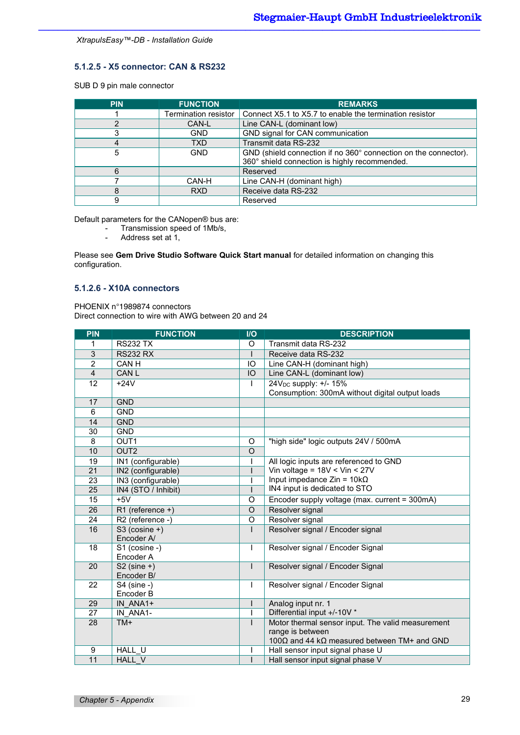### **5.1.2.5 - X5 connector: CAN & RS232**

SUB D 9 pin male connector

| <b>PIN</b> | <b>FUNCTION</b>      | <b>REMARKS</b>                                                  |
|------------|----------------------|-----------------------------------------------------------------|
|            | Termination resistor | Connect X5.1 to X5.7 to enable the termination resistor         |
|            | CAN-L                | Line CAN-L (dominant low)                                       |
| 3          | <b>GND</b>           | GND signal for CAN communication                                |
|            | <b>TXD</b>           | Transmit data RS-232                                            |
| 5          | <b>GND</b>           | GND (shield connection if no 360° connection on the connector). |
|            |                      | 360° shield connection is highly recommended.                   |
| 6          |                      | Reserved                                                        |
|            | CAN-H                | Line CAN-H (dominant high)                                      |
| 8          | <b>RXD</b>           | Receive data RS-232                                             |
| 9          |                      | Reserved                                                        |

Default parameters for the CANopen® bus are:

- Transmission speed of 1Mb/s,<br>- Address set at 1
- Address set at 1,

Please see **Gem Drive Studio Software Quick Start manual** for detailed information on changing this configuration.

### **5.1.2.6 - X10A connectors**

PHOENIX n°1989874 connectors

Direct connection to wire with AWG between 20 and 24

| <b>FUNCTION</b>    | $II$                                                                                                                                                                                                                                                                                                                                                                      | <b>DESCRIPTION</b>                                          |
|--------------------|---------------------------------------------------------------------------------------------------------------------------------------------------------------------------------------------------------------------------------------------------------------------------------------------------------------------------------------------------------------------------|-------------------------------------------------------------|
| <b>RS232 TX</b>    | O                                                                                                                                                                                                                                                                                                                                                                         | Transmit data RS-232                                        |
| <b>RS232 RX</b>    |                                                                                                                                                                                                                                                                                                                                                                           | Receive data RS-232                                         |
| CAN H              | IO                                                                                                                                                                                                                                                                                                                                                                        | Line CAN-H (dominant high)                                  |
| CAN <sub>L</sub>   | IO                                                                                                                                                                                                                                                                                                                                                                        | Line CAN-L (dominant low)                                   |
| $+24V$             | $\mathbf{I}$                                                                                                                                                                                                                                                                                                                                                              | 24V <sub>DC</sub> supply: +/- 15%                           |
|                    |                                                                                                                                                                                                                                                                                                                                                                           | Consumption: 300mA without digital output loads             |
|                    |                                                                                                                                                                                                                                                                                                                                                                           |                                                             |
|                    |                                                                                                                                                                                                                                                                                                                                                                           |                                                             |
|                    |                                                                                                                                                                                                                                                                                                                                                                           |                                                             |
|                    |                                                                                                                                                                                                                                                                                                                                                                           |                                                             |
|                    |                                                                                                                                                                                                                                                                                                                                                                           | "high side" logic outputs 24V / 500mA                       |
|                    |                                                                                                                                                                                                                                                                                                                                                                           |                                                             |
| IN1 (configurable) |                                                                                                                                                                                                                                                                                                                                                                           | All logic inputs are referenced to GND                      |
|                    |                                                                                                                                                                                                                                                                                                                                                                           | Vin voltage = $18V <$ Vin < $27V$                           |
|                    |                                                                                                                                                                                                                                                                                                                                                                           | Input impedance $Z$ in = 10k $\Omega$                       |
|                    |                                                                                                                                                                                                                                                                                                                                                                           | IN4 input is dedicated to STO                               |
|                    | O                                                                                                                                                                                                                                                                                                                                                                         | Encoder supply voltage (max. current = 300mA)               |
| R1 (reference +)   | $\Omega$                                                                                                                                                                                                                                                                                                                                                                  | Resolver signal                                             |
|                    | O                                                                                                                                                                                                                                                                                                                                                                         | Resolver signal                                             |
|                    |                                                                                                                                                                                                                                                                                                                                                                           | Resolver signal / Encoder signal                            |
|                    |                                                                                                                                                                                                                                                                                                                                                                           |                                                             |
|                    | ı                                                                                                                                                                                                                                                                                                                                                                         | Resolver signal / Encoder Signal                            |
|                    |                                                                                                                                                                                                                                                                                                                                                                           |                                                             |
|                    |                                                                                                                                                                                                                                                                                                                                                                           | Resolver signal / Encoder Signal                            |
|                    |                                                                                                                                                                                                                                                                                                                                                                           |                                                             |
|                    |                                                                                                                                                                                                                                                                                                                                                                           | Resolver signal / Encoder Signal                            |
|                    |                                                                                                                                                                                                                                                                                                                                                                           | Analog input nr. 1                                          |
|                    |                                                                                                                                                                                                                                                                                                                                                                           | Differential input +/-10V *                                 |
|                    |                                                                                                                                                                                                                                                                                                                                                                           | Motor thermal sensor input. The valid measurement           |
|                    |                                                                                                                                                                                                                                                                                                                                                                           | range is between                                            |
|                    |                                                                                                                                                                                                                                                                                                                                                                           | 100 $\Omega$ and 44 k $\Omega$ measured between TM+ and GND |
|                    |                                                                                                                                                                                                                                                                                                                                                                           | Hall sensor input signal phase U                            |
|                    | T                                                                                                                                                                                                                                                                                                                                                                         | Hall sensor input signal phase V                            |
|                    | <b>GND</b><br><b>GND</b><br><b>GND</b><br><b>GND</b><br>OUT <sub>1</sub><br>OUT <sub>2</sub><br>IN2 (configurable)<br>IN3 (configurable)<br>IN4 (STO / Inhibit)<br>$+5V$<br>R2 (reference -)<br>S3 (cosine +)<br>Encoder A/<br>S1 (cosine -)<br>Encoder A<br>$S2$ (sine +)<br>Encoder B/<br>$S4$ (sine -)<br>Encoder B<br>IN ANA1+<br>IN ANA1-<br>TM+<br>HALL U<br>HALL V | O<br>$\circ$<br>$\mathsf{I}$<br>т<br>I                      |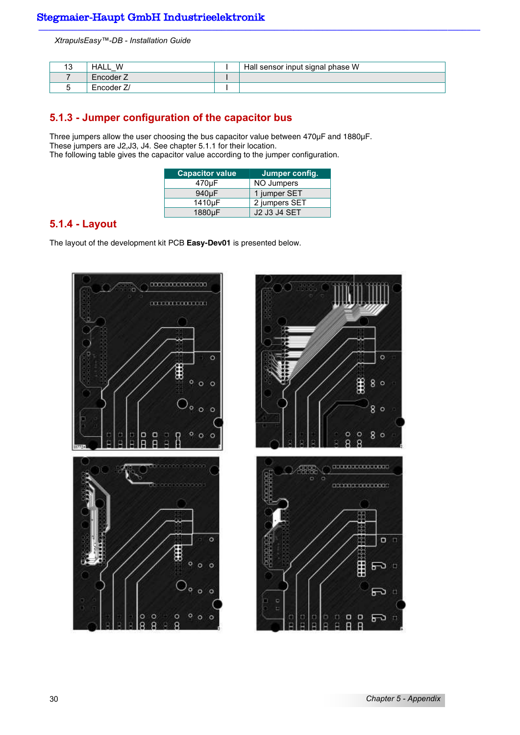| ں ِ | W<br>HALL    | Hall sensor input signal phase W |
|-----|--------------|----------------------------------|
|     | Encoder 2    |                                  |
|     | ⊺ Encoder ∠. |                                  |

## **5.1.3 - Jumper configuration of the capacitor bus**

Three jumpers allow the user choosing the bus capacitor value between 470µF and 1880µF. These jumpers are J2,J3, J4. See chapter 5.1.1 for their location. The following table gives the capacitor value according to the jumper configuration.

| <b>Capacitor value</b> | Jumper config.      |
|------------------------|---------------------|
| 470µF                  | NO Jumpers          |
| 940 <sub>u</sub> F     | 1 jumper SET        |
| 1410µF                 | 2 jumpers SET       |
| 1880µF                 | <b>J2 J3 J4 SET</b> |

## **5.1.4 - Layout**

The layout of the development kit PCB **Easy-Dev01** is presented below.



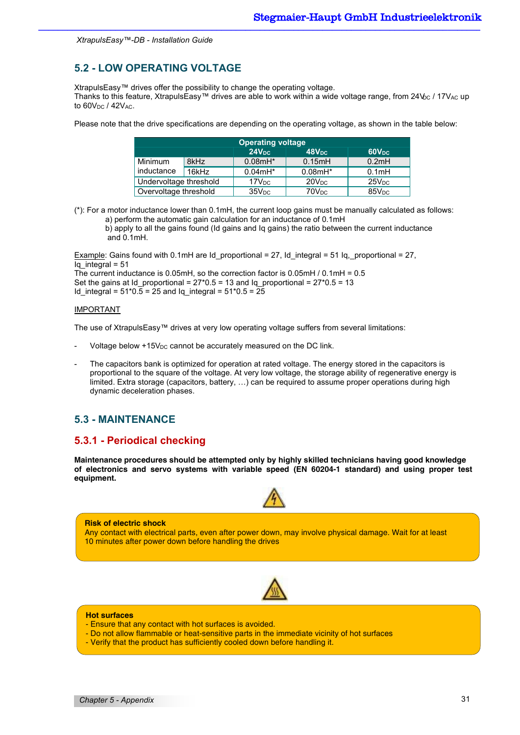## **5.2 - LOW OPERATING VOLTAGE**

XtrapulsEasy™ drives offer the possibility to change the operating voltage.

Thanks to this feature, XtrapulsEasy™ drives are able to work within a wide voltage range, from 24V<sub>bC</sub> / 17V<sub>AC</sub> up to  $60V_{DC}$  /  $42V_{AC}$ .

Please note that the drive specifications are depending on the operating voltage, as shown in the table below:

| <b>Operating voltage</b> |       |                   |                   |                    |  |
|--------------------------|-------|-------------------|-------------------|--------------------|--|
|                          |       | 48V <sub>DC</sub> | 60V <sub>DC</sub> |                    |  |
| Minimum                  | 8kHz  | $0.08mH*$         | 0.15mH            | 0.2mH              |  |
| inductance               | 16kHz | $0.04mH*$         | $0.08mH*$         | 0.1 <sub>m</sub> H |  |
| Undervoltage threshold   |       | 17V <sub>DC</sub> | 20V <sub>DC</sub> | 25V <sub>DC</sub>  |  |
| Overvoltage threshold    |       | 35V <sub>DC</sub> | 70V <sub>DC</sub> | 85V <sub>DC</sub>  |  |

(\*): For a motor inductance lower than 0.1mH, the current loop gains must be manually calculated as follows: a) perform the automatic gain calculation for an inductance of 0.1mH b) apply to all the gains found (Id gains and Iq gains) the ratio between the current inductance and 0.1mH.

Example: Gains found with 0.1mH are Id proportional = 27, Id integral = 51 Iq, proportional = 27, Iq integral =  $51$ The current inductance is 0.05mH, so the correction factor is 0.05mH / 0.1mH = 0.5

Set the gains at Id proportional =  $27*0.5 = 13$  and Iq proportional =  $27*0.5 = 13$ Id\_integral = 51\*0.5 = 25 and Iq\_integral = 51\*0.5 = 25

#### IMPORTANT

The use of XtrapulsEasy™ drives at very low operating voltage suffers from several limitations:

- Voltage below +15V<sub>DC</sub> cannot be accurately measured on the DC link.
- The capacitors bank is optimized for operation at rated voltage. The energy stored in the capacitors is proportional to the square of the voltage. At very low voltage, the storage ability of regenerative energy is limited. Extra storage (capacitors, battery, …) can be required to assume proper operations during high dynamic deceleration phases.

## **5.3 - MAINTENANCE**

## **5.3.1 - Periodical checking**

**Maintenance procedures should be attempted only by highly skilled technicians having good knowledge of electronics and servo systems with variable speed (EN 60204-1 standard) and using proper test equipment.** 



## **Risk of electric shock**  Any contact with electrical parts, even after power down, may involve physical damage. Wait for at least 10 minutes after power down before handling the drives



#### **Hot surfaces**

- Ensure that any contact with hot surfaces is avoided.
- Do not allow flammable or heat-sensitive parts in the immediate vicinity of hot surfaces
- Verify that the product has sufficiently cooled down before handling it.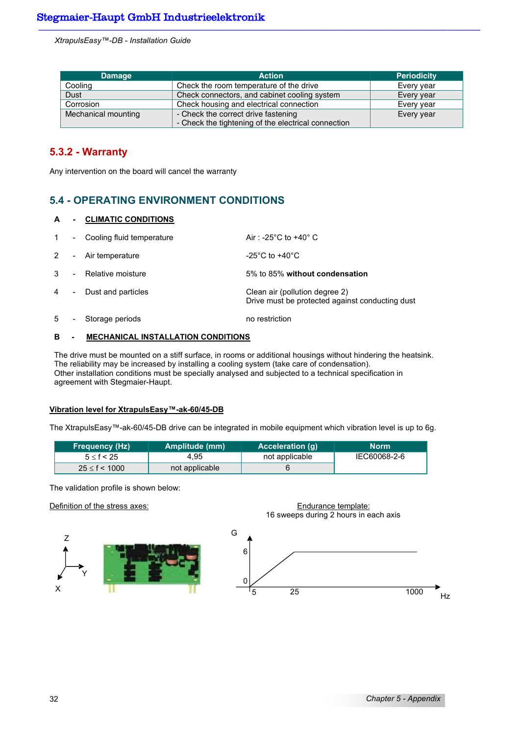| <b>Damage</b>       | <b>Action</b>                                       | <b>Periodicity</b> |
|---------------------|-----------------------------------------------------|--------------------|
| Cooling             | Check the room temperature of the drive             | Every year         |
| Dust                | Check connectors, and cabinet cooling system        | Every year         |
| Corrosion           | Check housing and electrical connection             | Every year         |
| Mechanical mounting | - Check the correct drive fastening                 | Every year         |
|                     | - Check the tightening of the electrical connection |                    |

## **5.3.2 - Warranty**

Any intervention on the board will cancel the warranty

## **5.4 - OPERATING ENVIRONMENT CONDITIONS**

#### **A - CLIMATIC CONDITIONS**

| $\mathbf{1}$ | $\sim$                   | Cooling fluid temperature | Air: -25 $^{\circ}$ C to +40 $^{\circ}$ C                                         |
|--------------|--------------------------|---------------------------|-----------------------------------------------------------------------------------|
| $2^{\circ}$  |                          | - Air temperature         | -25 $^{\circ}$ C to +40 $^{\circ}$ C                                              |
| 3            |                          | - Relative moisture       | 5% to 85% without condensation                                                    |
| 4            | $\overline{\phantom{a}}$ | Dust and particles        | Clean air (pollution degree 2)<br>Drive must be protected against conducting dust |
| 5            | $\overline{\phantom{a}}$ | Storage periods           | no restriction                                                                    |

#### **B - MECHANICAL INSTALLATION CONDITIONS**

The drive must be mounted on a stiff surface, in rooms or additional housings without hindering the heatsink. The reliability may be increased by installing a cooling system (take care of condensation). Other installation conditions must be specially analysed and subjected to a technical specification in agreement with Stegmaier-Haupt.

#### **Vibration level for XtrapulsEasy™-ak-60/45-DB**

The XtrapulsEasy™-ak-60/45-DB drive can be integrated in mobile equipment which vibration level is up to 6g.

| <b>Frequency (Hz)</b> | Amplitude (mm) | Acceleration (g) | <b>Norm</b>  |
|-----------------------|----------------|------------------|--------------|
| $5 \leq f < 25$       | 4.95           | not applicable   | IEC60068-2-6 |
| $25 \le f < 1000$     | not applicable |                  |              |

The validation profile is shown below:

#### Definition of the stress axes: Endurance template:



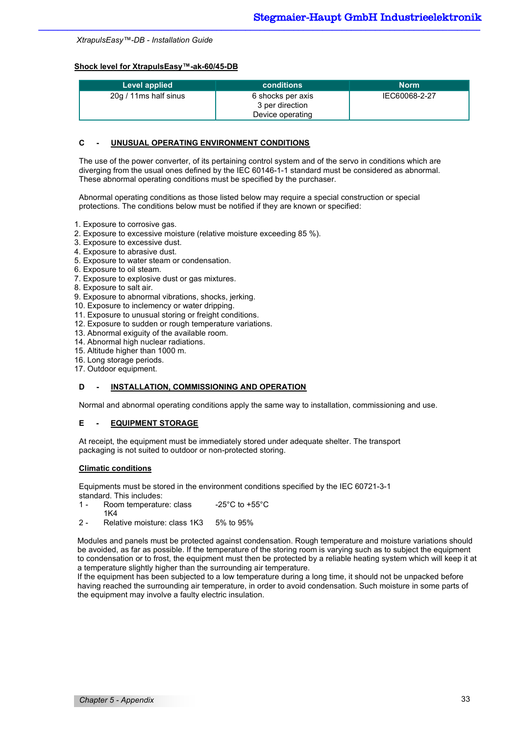#### **Shock level for XtrapulsEasy™-ak-60/45-DB**

| Level applied         | <b>conditions</b>                                        | <b>Norm</b>   |
|-----------------------|----------------------------------------------------------|---------------|
| 20g / 11ms half sinus | 6 shocks per axis<br>3 per direction<br>Device operating | IEC60068-2-27 |

#### **C - UNUSUAL OPERATING ENVIRONMENT CONDITIONS**

The use of the power converter, of its pertaining control system and of the servo in conditions which are diverging from the usual ones defined by the IEC 60146-1-1 standard must be considered as abnormal. These abnormal operating conditions must be specified by the purchaser.

Abnormal operating conditions as those listed below may require a special construction or special protections. The conditions below must be notified if they are known or specified:

- 1. Exposure to corrosive gas.
- 2. Exposure to excessive moisture (relative moisture exceeding 85 %).
- 3. Exposure to excessive dust.
- 4. Exposure to abrasive dust.
- 5. Exposure to water steam or condensation.
- 6. Exposure to oil steam.
- 7. Exposure to explosive dust or gas mixtures.
- 8. Exposure to salt air.
- 9. Exposure to abnormal vibrations, shocks, jerking.
- 10. Exposure to inclemency or water dripping.
- 11. Exposure to unusual storing or freight conditions.
- 12. Exposure to sudden or rough temperature variations.
- 13. Abnormal exiguity of the available room.
- 14. Abnormal high nuclear radiations.
- 15. Altitude higher than 1000 m.
- 16. Long storage periods.
- 17. Outdoor equipment.

#### **D** - INSTALLATION, COMMISSIONING AND OPERATION

Normal and abnormal operating conditions apply the same way to installation, commissioning and use.

#### **E - EQUIPMENT STORAGE**

At receipt, the equipment must be immediately stored under adequate shelter. The transport packaging is not suited to outdoor or non-protected storing.

#### **Climatic conditions**

Equipments must be stored in the environment conditions specified by the IEC 60721-3-1 standard. This includes:

- 1 Room temperature: class 1K4 -25°C to +55°C
- 2 Relative moisture: class 1K3 5% to 95%

Modules and panels must be protected against condensation. Rough temperature and moisture variations should be avoided, as far as possible. If the temperature of the storing room is varying such as to subject the equipment to condensation or to frost, the equipment must then be protected by a reliable heating system which will keep it at a temperature slightly higher than the surrounding air temperature.

If the equipment has been subjected to a low temperature during a long time, it should not be unpacked before having reached the surrounding air temperature, in order to avoid condensation. Such moisture in some parts of the equipment may involve a faulty electric insulation.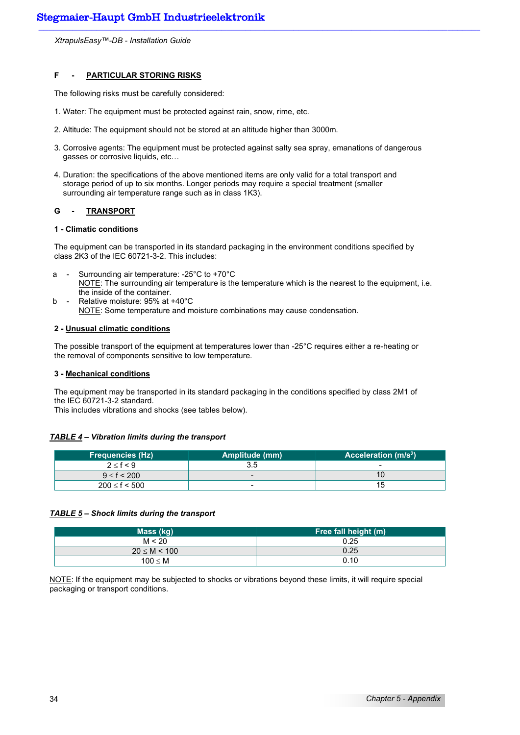#### **F - PARTICULAR STORING RISKS**

The following risks must be carefully considered:

- 1. Water: The equipment must be protected against rain, snow, rime, etc.
- 2. Altitude: The equipment should not be stored at an altitude higher than 3000m.
- 3. Corrosive agents: The equipment must be protected against salty sea spray, emanations of dangerous gasses or corrosive liquids, etc…
- 4. Duration: the specifications of the above mentioned items are only valid for a total transport and storage period of up to six months. Longer periods may require a special treatment (smaller surrounding air temperature range such as in class 1K3).

#### **G - TRANSPORT**

#### **1 - Climatic conditions**

The equipment can be transported in its standard packaging in the environment conditions specified by class 2K3 of the IEC 60721-3-2. This includes:

- a Surrounding air temperature: -25°C to +70°C NOTE: The surrounding air temperature is the temperature which is the nearest to the equipment, i.e. the inside of the container.
- b Relative moisture: 95% at +40°C NOTE: Some temperature and moisture combinations may cause condensation.

#### **2 - Unusual climatic conditions**

The possible transport of the equipment at temperatures lower than -25°C requires either a re-heating or the removal of components sensitive to low temperature.

#### **3 - Mechanical conditions**

The equipment may be transported in its standard packaging in the conditions specified by class 2M1 of the IEC 60721-3-2 standard.

This includes vibrations and shocks (see tables below).

#### *TABLE 4 – Vibration limits during the transport*

| Frequencies (Hz) '  | Amplitude (mm) | Acceleration (m/s <sup>2</sup> ) |
|---------------------|----------------|----------------------------------|
| 2 < f < 9           |                | $\overline{\phantom{0}}$         |
| $9 \le f < 200$     |                |                                  |
| $200 \le f \le 500$ | -              | 15                               |

#### *TABLE 5 – Shock limits during the transport*

| Mass (kg)        | Free fall height (m) |
|------------------|----------------------|
| M < 20           | 0.25                 |
| $20 \le M < 100$ | 0.25                 |
| $100 \leq M$     | 0.10                 |

NOTE: If the equipment may be subjected to shocks or vibrations beyond these limits, it will require special packaging or transport conditions.